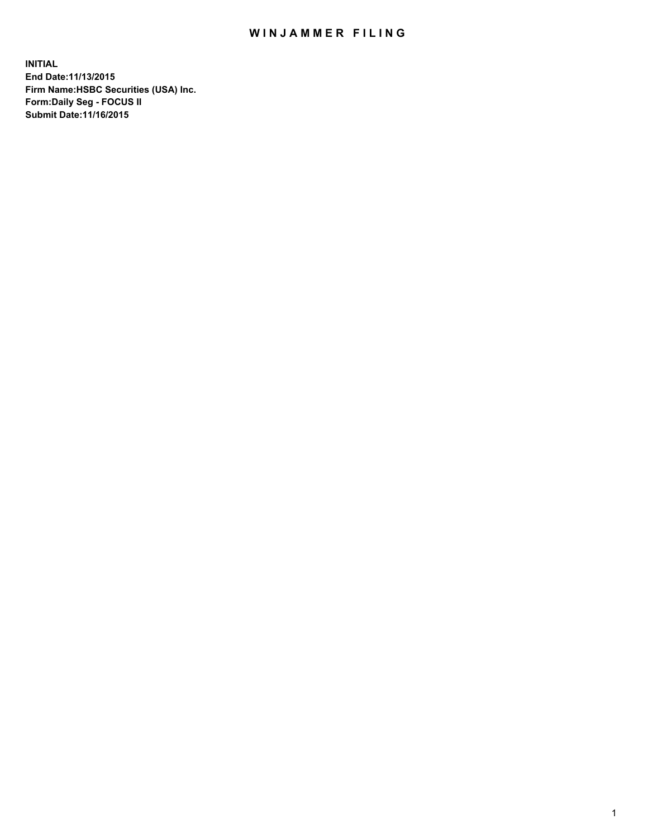## WIN JAMMER FILING

**INITIAL End Date:11/13/2015 Firm Name:HSBC Securities (USA) Inc. Form:Daily Seg - FOCUS II Submit Date:11/16/2015**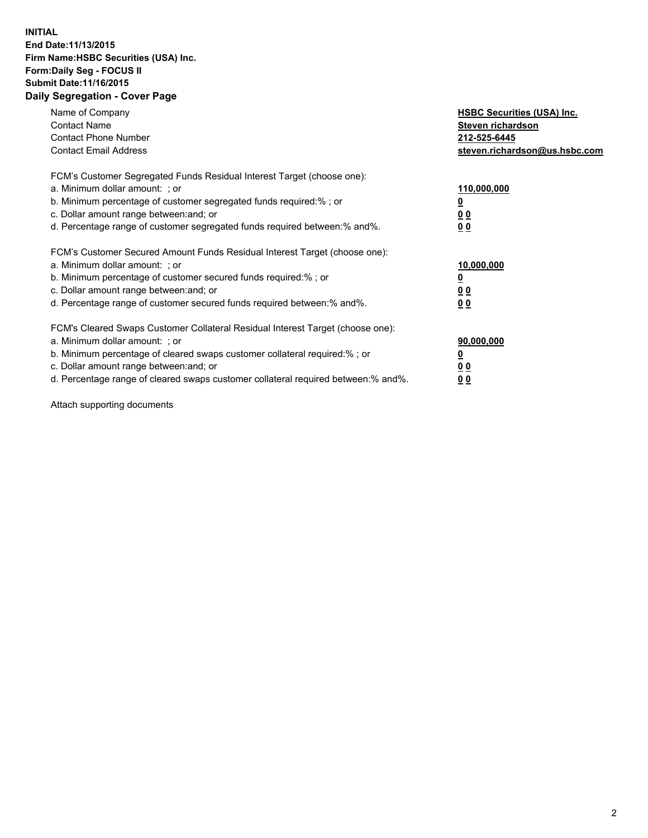### **INITIAL End Date:11/13/2015 Firm Name:HSBC Securities (USA) Inc. Form:Daily Seg - FOCUS II Submit Date:11/16/2015 Daily Segregation - Cover Page**

| Name of Company<br><b>Contact Name</b><br><b>Contact Phone Number</b><br><b>Contact Email Address</b>                                                                                                                                                                                                                          | <b>HSBC Securities (USA) Inc.</b><br>Steven richardson<br>212-525-6445<br>steven.richardson@us.hsbc.com |
|--------------------------------------------------------------------------------------------------------------------------------------------------------------------------------------------------------------------------------------------------------------------------------------------------------------------------------|---------------------------------------------------------------------------------------------------------|
| FCM's Customer Segregated Funds Residual Interest Target (choose one):<br>a. Minimum dollar amount: ; or<br>b. Minimum percentage of customer segregated funds required:%; or<br>c. Dollar amount range between: and; or<br>d. Percentage range of customer segregated funds required between: % and %.                        | 110,000,000<br><u>0</u><br>0 <sub>0</sub><br>0 <sub>0</sub>                                             |
| FCM's Customer Secured Amount Funds Residual Interest Target (choose one):<br>a. Minimum dollar amount: ; or<br>b. Minimum percentage of customer secured funds required:%; or<br>c. Dollar amount range between: and; or<br>d. Percentage range of customer secured funds required between:% and%.                            | 10,000,000<br><u>0</u><br>0 <sub>0</sub><br>0 <sub>0</sub>                                              |
| FCM's Cleared Swaps Customer Collateral Residual Interest Target (choose one):<br>a. Minimum dollar amount: ; or<br>b. Minimum percentage of cleared swaps customer collateral required:% ; or<br>c. Dollar amount range between: and; or<br>d. Percentage range of cleared swaps customer collateral required between:% and%. | 90,000,000<br>0 <sub>0</sub><br>00                                                                      |

Attach supporting documents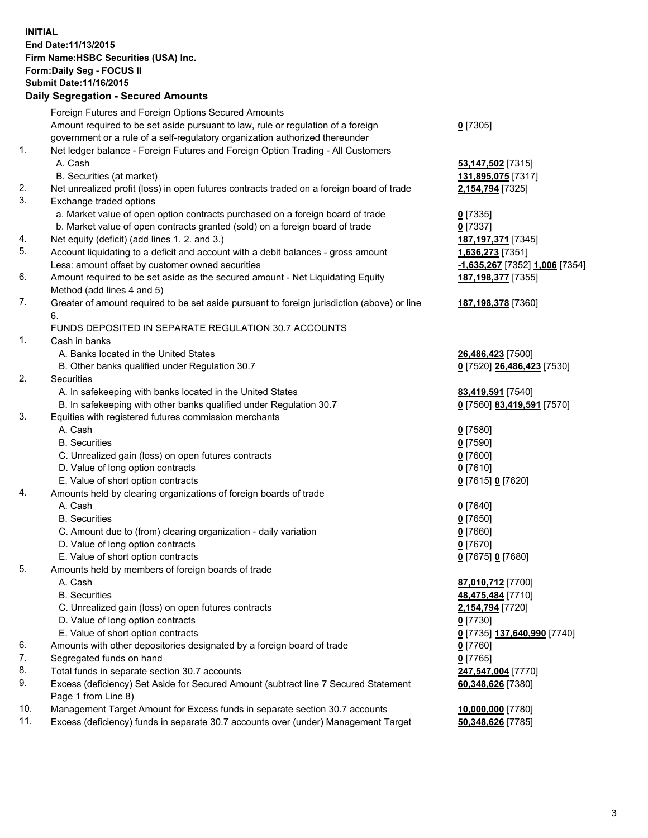**INITIAL End Date:11/13/2015 Firm Name:HSBC Securities (USA) Inc. Form:Daily Seg - FOCUS II Submit Date:11/16/2015 Daily Segregation - Secured Amounts**

# Foreign Futures and Foreign Options Secured Amounts

Amount required to be set aside pursuant to law, rule or regulation of a foreign government or a rule of a self-regulatory organization authorized thereunder

- 1. Net ledger balance Foreign Futures and Foreign Option Trading All Customers A. Cash **53,147,502** [7315]
	- B. Securities (at market) **131,895,075** [7317]
- 2. Net unrealized profit (loss) in open futures contracts traded on a foreign board of trade **2,154,794** [7325]
- 3. Exchange traded options
	- a. Market value of open option contracts purchased on a foreign board of trade **0** [7335]
	- b. Market value of open contracts granted (sold) on a foreign board of trade **0** [7337]
- 4. Net equity (deficit) (add lines 1. 2. and 3.) **187,197,371** [7345]
- 5. Account liquidating to a deficit and account with a debit balances gross amount **1,636,273** [7351] Less: amount offset by customer owned securities **-1,635,267** [7352] **1,006** [7354]
- 6. Amount required to be set aside as the secured amount Net Liquidating Equity Method (add lines 4 and 5)
- 7. Greater of amount required to be set aside pursuant to foreign jurisdiction (above) or line 6.

## FUNDS DEPOSITED IN SEPARATE REGULATION 30.7 ACCOUNTS

- 1. Cash in banks
	- A. Banks located in the United States **26,486,423** [7500]
	- B. Other banks qualified under Regulation 30.7 **0** [7520] **26,486,423** [7530]
- 2. Securities
	- A. In safekeeping with banks located in the United States **83,419,591** [7540]
	- B. In safekeeping with other banks qualified under Regulation 30.7 **0** [7560] **83,419,591** [7570]
- 3. Equities with registered futures commission merchants
	- A. Cash **0** [7580]
		-
	- C. Unrealized gain (loss) on open futures contracts **0** [7600]
	- D. Value of long option contracts **0** [7610]
	- E. Value of short option contracts **0** [7615] **0** [7620]
- 4. Amounts held by clearing organizations of foreign boards of trade
	- A. Cash **0** [7640]
		-
	- C. Amount due to (from) clearing organization daily variation **0** [7660]
	- D. Value of long option contracts **0** [7670]
	- E. Value of short option contracts **0** [7675] **0** [7680]
- 5. Amounts held by members of foreign boards of trade
	-
	-
	- C. Unrealized gain (loss) on open futures contracts **2,154,794** [7720]
	- D. Value of long option contracts **0** [7730]
	- E. Value of short option contracts **0** [7735] **137,640,990** [7740]
- 6. Amounts with other depositories designated by a foreign board of trade **0** [7760]
- 7. Segregated funds on hand **0** [7765]
- 8. Total funds in separate section 30.7 accounts **247,547,004** [7770]
- 9. Excess (deficiency) Set Aside for Secured Amount (subtract line 7 Secured Statement Page 1 from Line 8)
- 10. Management Target Amount for Excess funds in separate section 30.7 accounts **10,000,000** [7780]
- 11. Excess (deficiency) funds in separate 30.7 accounts over (under) Management Target **50,348,626** [7785]

**0** [7305]

**187,198,377** [7355]

### **187,198,378** [7360]

B. Securities **0** [7590]

B. Securities **0** [7650]

 A. Cash **87,010,712** [7700] B. Securities **48,475,484** [7710] **60,348,626** [7380]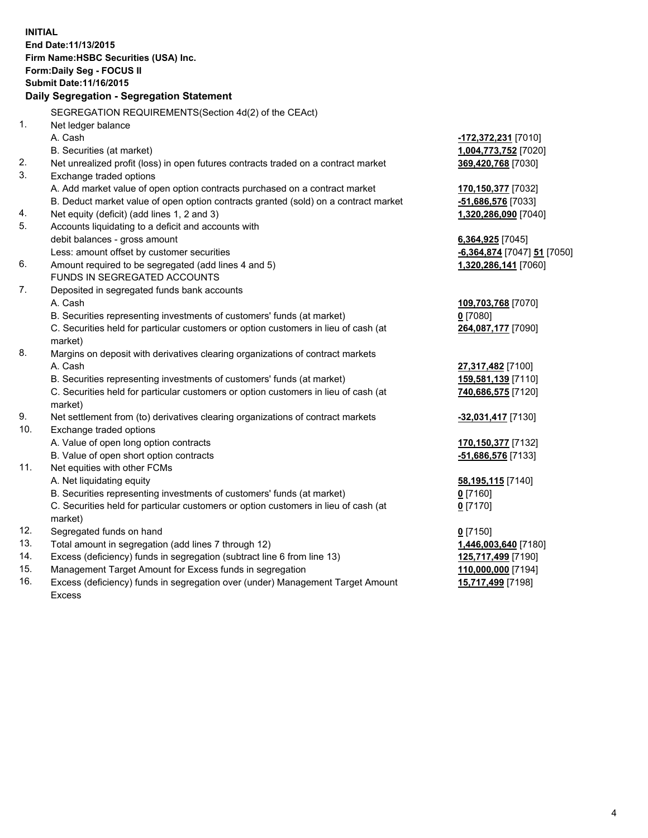|          | <b>INITIAL</b><br>End Date: 11/13/2015<br>Firm Name: HSBC Securities (USA) Inc.                               |                             |
|----------|---------------------------------------------------------------------------------------------------------------|-----------------------------|
|          | Form: Daily Seg - FOCUS II<br>Submit Date: 11/16/2015                                                         |                             |
|          | Daily Segregation - Segregation Statement                                                                     |                             |
|          |                                                                                                               |                             |
|          | SEGREGATION REQUIREMENTS(Section 4d(2) of the CEAct)                                                          |                             |
| 1.       | Net ledger balance                                                                                            |                             |
|          | A. Cash                                                                                                       | -172,372,231 [7010]         |
|          | B. Securities (at market)                                                                                     | 1,004,773,752 [7020]        |
| 2.<br>3. | Net unrealized profit (loss) in open futures contracts traded on a contract market<br>Exchange traded options | 369,420,768 [7030]          |
|          | A. Add market value of open option contracts purchased on a contract market                                   | 170,150,377 [7032]          |
|          | B. Deduct market value of open option contracts granted (sold) on a contract market                           | -51,686,576 [7033]          |
| 4.       | Net equity (deficit) (add lines 1, 2 and 3)                                                                   | 1,320,286,090 [7040]        |
| 5.       | Accounts liquidating to a deficit and accounts with                                                           |                             |
|          | debit balances - gross amount                                                                                 | 6,364,925 [7045]            |
|          | Less: amount offset by customer securities                                                                    | -6,364,874 [7047] 51 [7050] |
| 6.       | Amount required to be segregated (add lines 4 and 5)                                                          | 1,320,286,141 [7060]        |
|          | FUNDS IN SEGREGATED ACCOUNTS                                                                                  |                             |
| 7.       | Deposited in segregated funds bank accounts                                                                   |                             |
|          | A. Cash                                                                                                       | 109,703,768 [7070]          |
|          | B. Securities representing investments of customers' funds (at market)                                        | $0$ [7080]                  |
|          | C. Securities held for particular customers or option customers in lieu of cash (at<br>market)                | 264,087,177 [7090]          |
| 8.       | Margins on deposit with derivatives clearing organizations of contract markets                                |                             |
|          | A. Cash                                                                                                       | 27,317,482 [7100]           |
|          | B. Securities representing investments of customers' funds (at market)                                        | 159,581,139 [7110]          |
|          | C. Securities held for particular customers or option customers in lieu of cash (at<br>market)                | 740,686,575 [7120]          |
| 9.       | Net settlement from (to) derivatives clearing organizations of contract markets                               | -32,031,417 [7130]          |
| 10.      | Exchange traded options                                                                                       |                             |
|          | A. Value of open long option contracts                                                                        | 170, 150, 377 [7132]        |
|          | B. Value of open short option contracts                                                                       | -51,686,576 [7133]          |
| 11.      | Net equities with other FCMs                                                                                  |                             |
|          | A. Net liquidating equity                                                                                     | 58,195,115 [7140]           |
|          | B. Securities representing investments of customers' funds (at market)                                        | $0$ [7160]                  |
|          | C. Securities held for particular customers or option customers in lieu of cash (at<br>market)                | $0$ [7170]                  |
| 12.      | Segregated funds on hand                                                                                      | $0$ [7150]                  |
| 13.      | Total amount in segregation (add lines 7 through 12)                                                          | 1,446,003,640 [7180]        |
| 14.      | Excess (deficiency) funds in segregation (subtract line 6 from line 13)                                       | 125,717,499 [7190]          |
| 15.      | Management Target Amount for Excess funds in segregation                                                      | 110,000,000 [7194]          |
| 16.      | Excess (deficiency) funds in segregation over (under) Management Target Amount                                | 15,717,499 [7198]           |

16. Excess (deficiency) funds in segregation over (under) Management Target Amount Excess